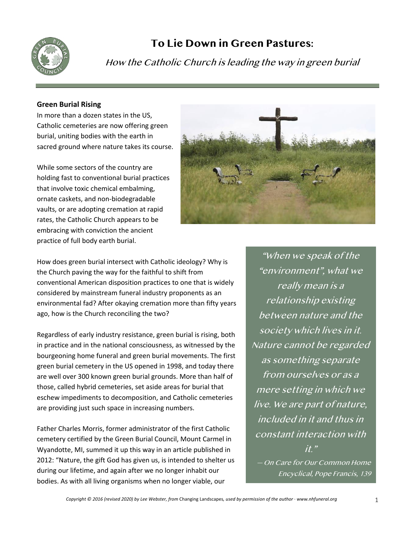

# **To Lie Down in Green Pastures:**

How the Catholic Church is leading the way in green burial

## **Green Burial Rising**

In more than a dozen states in the US, Catholic cemeteries are now offering green burial, uniting bodies with the earth in sacred ground where nature takes its course.

While some sectors of the country are holding fast to conventional burial practices that involve toxic chemical embalming, ornate caskets, and non-biodegradable vaults, or are adopting cremation at rapid rates, the Catholic Church appears to be embracing with conviction the ancient practice of full body earth burial.



How does green burial intersect with Catholic ideology? Why is the Church paving the way for the faithful to shift from conventional American disposition practices to one that is widely considered by mainstream funeral industry proponents as an environmental fad? After okaying cremation more than fifty years ago, how is the Church reconciling the two?

Regardless of early industry resistance, green burial is rising, both in practice and in the national consciousness, as witnessed by the bourgeoning home funeral and green burial movements. The first green burial cemetery in the US opened in 1998, and today there are well over 300 known green burial grounds. More than half of those, called hybrid cemeteries, set aside areas for burial that eschew impediments to decomposition, and Catholic cemeteries are providing just such space in increasing numbers.

Father Charles Morris, former administrator of the first Catholic cemetery certified by the Green Burial Council, Mount Carmel in Wyandotte, MI, summed it up this way in an article published in 2012: "Nature, the gift God has given us, is intended to shelter us during our lifetime, and again after we no longer inhabit our bodies. As with all living organisms when no longer viable, our

"When we speak of the "environment", what we really mean is a relationship existing between nature and the society which lives in it. Nature cannot be regarded as something separate from ourselves or as <sup>a</sup> mere setting in which we live. We are part of nature, included in it and thus in constant interaction with  $it$ " — On Care for Our Common Home

Encyclical, Pope Francis, 139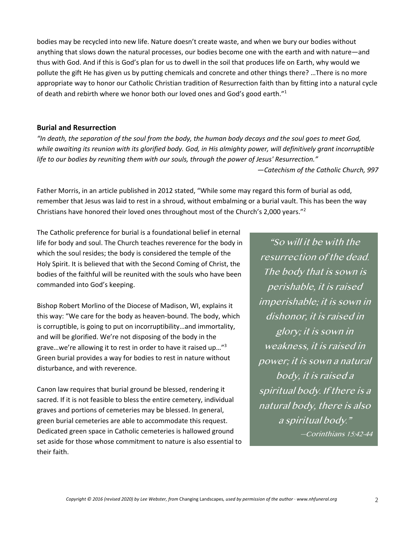bodies may be recycled into new life. Nature doesn't create waste, and when we bury our bodies without anything that slows down the natural processes, our bodies become one with the earth and with nature—and thus with God. And if this is God's plan for us to dwell in the soil that produces life on Earth, why would we pollute the gift He has given us by putting chemicals and concrete and other things there? …There is no more appropriate way to honor our Catholic Christian tradition of Resurrection faith than by fitting into a natural cycle of death and rebirth where we honor both our loved ones and God's good earth."<sup>1</sup>

#### **Burial and Resurrection**

*"In death, the separation of the soul from the body, the human body decays and the soul goes to meet God, while awaiting its reunion with its glorified body. God, in His almighty power, will definitively grant incorruptible life to our bodies by reuniting them with our souls, through the power of Jesus' Resurrection."*

*—Catechism of the Catholic Church, 997*

Father Morris, in an article published in 2012 stated, "While some may regard this form of burial as odd, remember that Jesus was laid to rest in a shroud, without embalming or a burial vault. This has been the way Christians have honored their loved ones throughout most of the Church's 2,000 years."2

The Catholic preference for burial is a foundational belief in eternal life for body and soul. The Church teaches reverence for the body in which the soul resides; the body is considered the temple of the Holy Spirit. It is believed that with the Second Coming of Christ, the bodies of the faithful will be reunited with the souls who have been commanded into God's keeping.

Bishop Robert Morlino of the Diocese of Madison, WI, explains it this way: "We care for the body as heaven-bound. The body, which is corruptible, is going to put on incorruptibility…and immortality, and will be glorified. We're not disposing of the body in the grave…we're allowing it to rest in order to have it raised up…"3 Green burial provides a way for bodies to rest in nature without disturbance, and with reverence.

Canon law requires that burial ground be blessed, rendering it sacred. If it is not feasible to bless the entire cemetery, individual graves and portions of cemeteries may be blessed. In general, green burial cemeteries are able to accommodate this request. Dedicated green space in Catholic cemeteries is hallowed ground set aside for those whose commitment to nature is also essential to their faith.

"So will it be with the resurrection of the dead. The body that is sown is perishable, it is raised imperishable; it is sown in dishonor, it is raised in glory; it is sown in weakness, it is raised in power; it is sown a natural body, it is raised a spiritual body. If there is a natural body, there is also a spiritual body." —Corinthians 15:42-44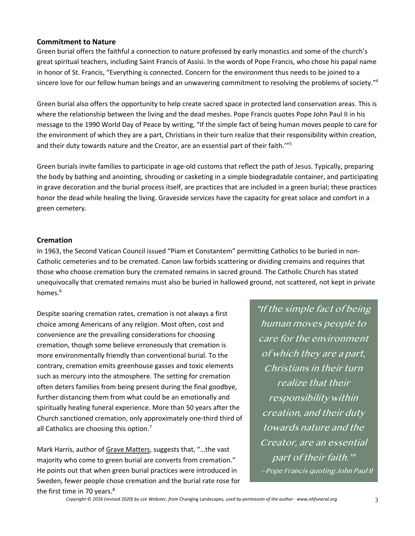## **Commitment to Nature**

Green burial offers the faithful a connection to nature professed by early monastics and some of the church's great spiritual teachers, including Saint Francis of Assisi. In the words of Pope Francis, who chose his papal name in honor of St. Francis, "Everything is connected. Concern for the environment thus needs to be joined to a sincere love for our fellow human beings and an unwavering commitment to resolving the problems of society."4

Green burial also offers the opportunity to help create sacred space in protected land conservation areas. This is where the relationship between the living and the dead meshes. Pope Francis quotes Pope John Paul II in his message to the 1990 World Day of Peace by writing, "If the simple fact of being human moves people to care for the environment of which they are a part, Christians in their turn realize that their responsibility within creation, and their duty towards nature and the Creator, are an essential part of their faith.'"5

Green burials invite families to participate in age-old customs that reflect the path of Jesus. Typically, preparing the body by bathing and anointing, shrouding or casketing in a simple biodegradable container, and participating in grave decoration and the burial process itself, are practices that are included in a green burial; these practices honor the dead while healing the living. Graveside services have the capacity for great solace and comfort in a green cemetery.

## **Cremation**

In 1963, the Second Vatican Council issued "Piam et Constantem" permitting Catholics to be buried in non-Catholic cemeteries and to be cremated. Canon law forbids scattering or dividing cremains and requires that those who choose cremation bury the cremated remains in sacred ground. The Catholic Church has stated unequivocally that cremated remains must also be buried in hallowed ground, not scattered, not kept in private homes.<sup>6</sup>

Despite soaring cremation rates, cremation is not always a first choice among Americans of any religion. Most often, cost and convenience are the prevailing considerations for choosing cremation, though some believe erroneously that cremation is more environmentally friendly than conventional burial. To the contrary, cremation emits greenhouse gasses and toxic elements such as mercury into the atmosphere. The setting for cremation often deters families from being present during the final goodbye, further distancing them from what could be an emotionally and spiritually healing funeral experience. More than 50 years after the Church sanctioned cremation, only approximately one-third third of all Catholics are choosing this option.<sup>7</sup>

Mark Harris, author of Grave Matters, suggests that, "…the vast majority who come to green burial are converts from cremation." He points out that when green burial practices were introduced in Sweden, fewer people chose cremation and the burial rate rose for the first time in 70 years.<sup>8</sup>

"If the simple fact of being human moves people to care for the environment of which they are a part, Christians in their turn realize that their responsibility within creation, and their duty towards nature and the Creator, are an essential part of their faith.'" —Pope Francis quoting John Paul II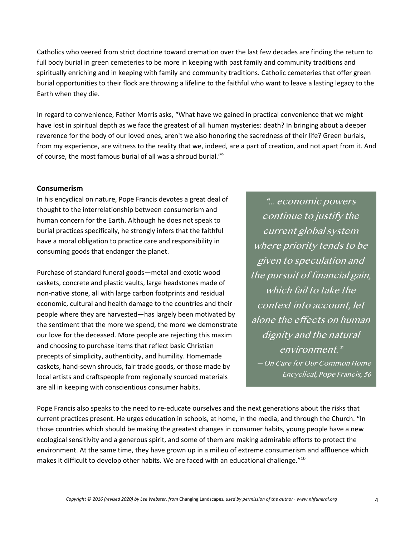Catholics who veered from strict doctrine toward cremation over the last few decades are finding the return to full body burial in green cemeteries to be more in keeping with past family and community traditions and spiritually enriching and in keeping with family and community traditions. Catholic cemeteries that offer green burial opportunities to their flock are throwing a lifeline to the faithful who want to leave a lasting legacy to the Earth when they die.

In regard to convenience, Father Morris asks, "What have we gained in practical convenience that we might have lost in spiritual depth as we face the greatest of all human mysteries: death? In bringing about a deeper reverence for the body of our loved ones, aren't we also honoring the sacredness of their life? Green burials, from my experience, are witness to the reality that we, indeed, are a part of creation, and not apart from it. And of course, the most famous burial of all was a shroud burial."9

#### **Consumerism**

In his encyclical on nature, Pope Francis devotes a great deal of thought to the interrelationship between consumerism and human concern for the Earth. Although he does not speak to burial practices specifically, he strongly infers that the faithful have a moral obligation to practice care and responsibility in consuming goods that endanger the planet.

Purchase of standard funeral goods—metal and exotic wood caskets, concrete and plastic vaults, large headstones made of non-native stone, all with large carbon footprints and residual economic, cultural and health damage to the countries and their people where they are harvested—has largely been motivated by the sentiment that the more we spend, the more we demonstrate our love for the deceased. More people are rejecting this maxim and choosing to purchase items that reflect basic Christian precepts of simplicity, authenticity, and humility. Homemade caskets, hand-sewn shrouds, fair trade goods, or those made by local artists and craftspeople from regionally sourced materials are all in keeping with conscientious consumer habits.

"*…* economic powers continue to justify the current global system where priority tends to be given to speculation and the pursuit of financial gain, which fail to take the context into account, let alone the effects on human dignity and the natural environment." — On Care for Our Common Home Encyclical, Pope Francis, <sup>56</sup>

Pope Francis also speaks to the need to re-educate ourselves and the next generations about the risks that current practices present. He urges education in schools, at home, in the media, and through the Church. "In those countries which should be making the greatest changes in consumer habits, young people have a new ecological sensitivity and a generous spirit, and some of them are making admirable efforts to protect the environment. At the same time, they have grown up in a milieu of extreme consumerism and affluence which makes it difficult to develop other habits. We are faced with an educational challenge."10